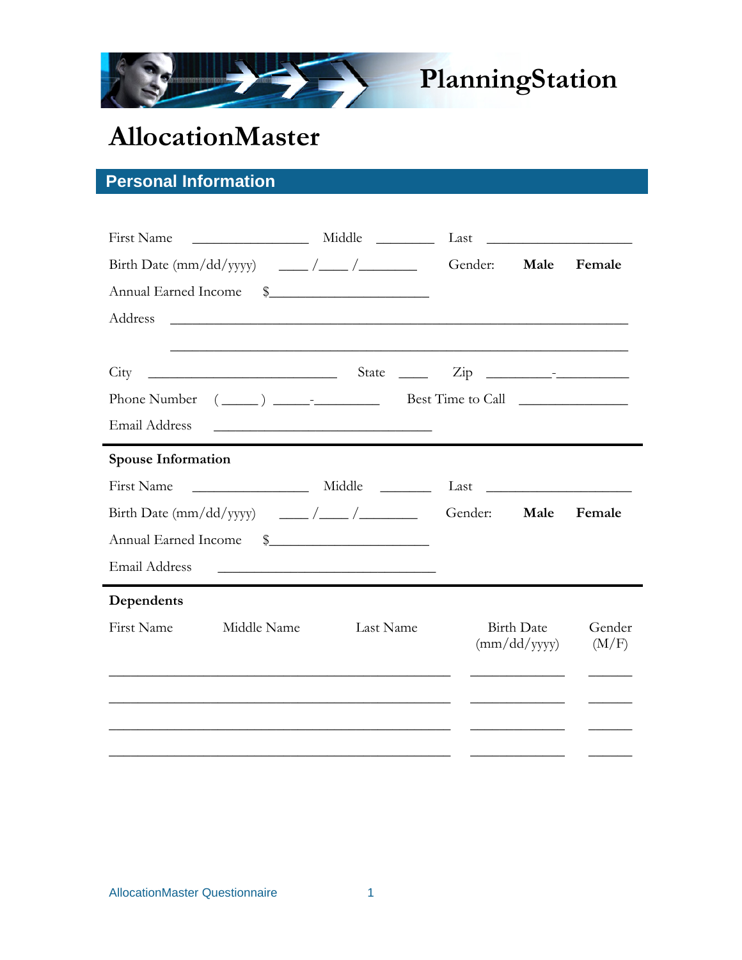

# **PlanningStation**

# **AllocationMaster**

# **Personal Information**

|                      |                                                   |                                                                                                                                                            | Middle<br>Last                        |                              | <u> The Communication of the Communication of the Communication of the Communication of the Communication of the Co</u> |
|----------------------|---------------------------------------------------|------------------------------------------------------------------------------------------------------------------------------------------------------------|---------------------------------------|------------------------------|-------------------------------------------------------------------------------------------------------------------------|
|                      |                                                   |                                                                                                                                                            | Gender:                               | Male                         | Female                                                                                                                  |
| Annual Earned Income |                                                   | $\frac{1}{2}$                                                                                                                                              |                                       |                              |                                                                                                                         |
| Address              |                                                   | <u> 1989 - Johann Stoff, amerikansk politiker (d. 1989)</u>                                                                                                |                                       |                              |                                                                                                                         |
|                      |                                                   |                                                                                                                                                            |                                       |                              |                                                                                                                         |
| City                 | <u> 1989 - Johann Barn, mars eta bainar eta i</u> |                                                                                                                                                            | State $\frac{\text{Cip}}{\text{Cip}}$ |                              |                                                                                                                         |
| Phone Number         |                                                   | $(\underline{\hspace{1cm}})$ $\underline{\hspace{1cm}}$ $\underline{\hspace{1cm}}$ $\underline{\hspace{1cm}}$ Best Time to Call $\underline{\hspace{1cm}}$ |                                       |                              |                                                                                                                         |
| Email Address        |                                                   | <u> 1990 - Johann John Harry Harry Harry Harry Harry Harry Harry Harry Harry Harry Harry Harry Harry Harry Harry</u>                                       |                                       |                              |                                                                                                                         |
| Spouse Information   |                                                   |                                                                                                                                                            |                                       |                              |                                                                                                                         |
| First Name           |                                                   | Middle                                                                                                                                                     |                                       |                              |                                                                                                                         |
|                      |                                                   |                                                                                                                                                            |                                       | Male                         | Female                                                                                                                  |
| Annual Earned Income |                                                   | $\frac{1}{2}$                                                                                                                                              |                                       |                              |                                                                                                                         |
|                      |                                                   |                                                                                                                                                            |                                       |                              |                                                                                                                         |
| <b>Email Address</b> |                                                   | <u> 1989 - Johann John Stone, markin film yn y brening yn y brening yn y brening yn y brening yn y brening yn y b</u>                                      |                                       |                              |                                                                                                                         |
| Dependents           |                                                   |                                                                                                                                                            |                                       |                              |                                                                                                                         |
| <b>First Name</b>    | Middle Name                                       | Last Name                                                                                                                                                  |                                       | <b>Birth Date</b>            | Gender                                                                                                                  |
|                      |                                                   |                                                                                                                                                            |                                       | $\frac{dm}{dd}$ (mm/dd/yyyy) | (M/F)                                                                                                                   |
|                      |                                                   |                                                                                                                                                            |                                       |                              |                                                                                                                         |
|                      |                                                   |                                                                                                                                                            |                                       |                              |                                                                                                                         |
|                      |                                                   |                                                                                                                                                            |                                       |                              |                                                                                                                         |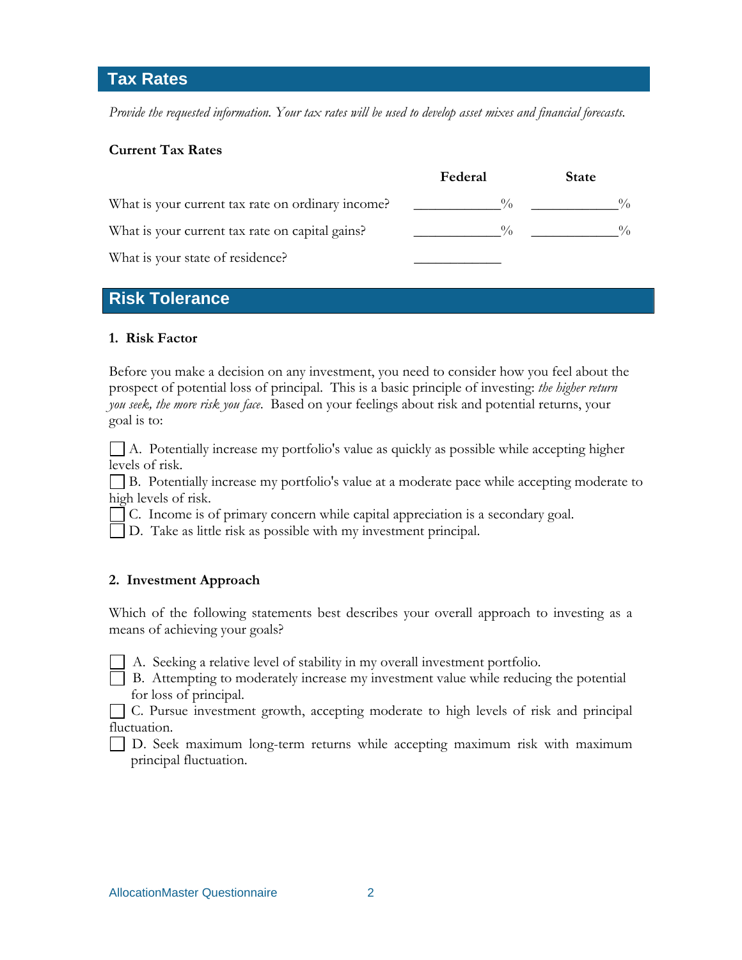# **Tax Rates**

*Provide the requested information. Your tax rates will be used to develop asset mixes and financial forecasts.* 

# **Current Tax Rates**

|                                                   | Federal       | <b>State</b>  |
|---------------------------------------------------|---------------|---------------|
| What is your current tax rate on ordinary income? |               | $\frac{0}{0}$ |
| What is your current tax rate on capital gains?   | $\frac{0}{0}$ | $\frac{0}{0}$ |
| What is your state of residence?                  |               |               |

# **Risk Tolerance**

#### **1. Risk Factor**

Before you make a decision on any investment, you need to consider how you feel about the prospect of potential loss of principal. This is a basic principle of investing: *the higher return you seek, the more risk you face*. Based on your feelings about risk and potential returns, your goal is to:

 A. Potentially increase my portfolio's value as quickly as possible while accepting higher levels of risk.

 B. Potentially increase my portfolio's value at a moderate pace while accepting moderate to high levels of risk.

C. Income is of primary concern while capital appreciation is a secondary goal.

D. Take as little risk as possible with my investment principal.

# **2. Investment Approach**

Which of the following statements best describes your overall approach to investing as a means of achieving your goals?

A. Seeking a relative level of stability in my overall investment portfolio.

 B. Attempting to moderately increase my investment value while reducing the potential for loss of principal.

 C. Pursue investment growth, accepting moderate to high levels of risk and principal fluctuation.

 D. Seek maximum long-term returns while accepting maximum risk with maximum principal fluctuation.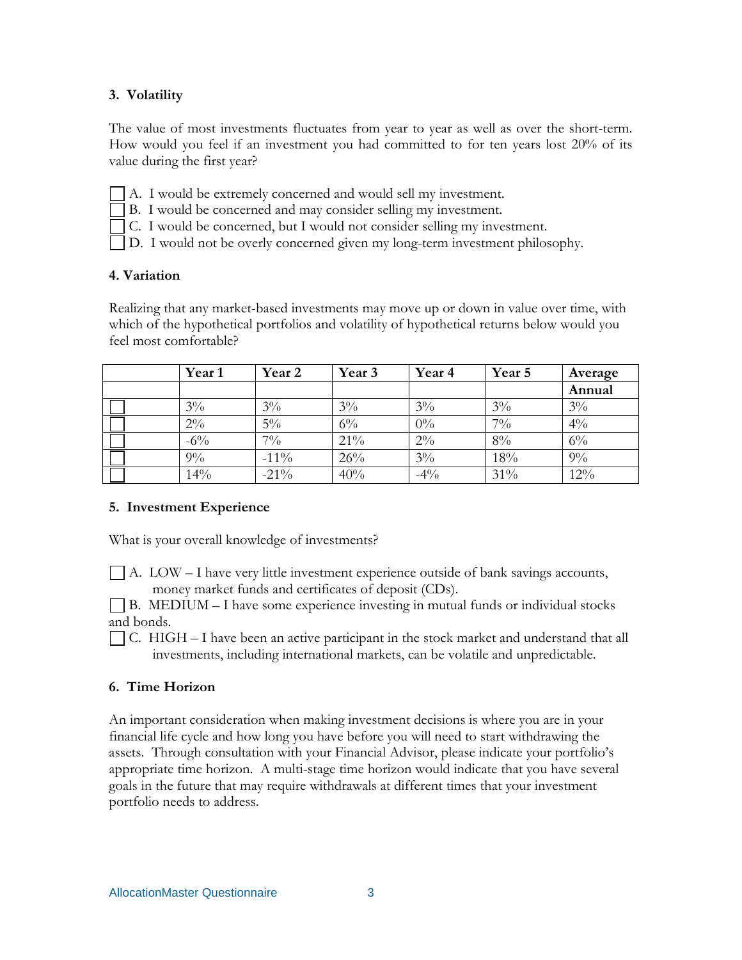# **3. Volatility**

The value of most investments fluctuates from year to year as well as over the short-term. How would you feel if an investment you had committed to for ten years lost 20% of its value during the first year?

A. I would be extremely concerned and would sell my investment.

B. I would be concerned and may consider selling my investment.

C. I would be concerned, but I would not consider selling my investment.

D. I would not be overly concerned given my long-term investment philosophy.

#### **4. Variation**

Realizing that any market-based investments may move up or down in value over time, with which of the hypothetical portfolios and volatility of hypothetical returns below would you feel most comfortable?

| Year 1 | Year 2  | Year 3 | Year <sub>4</sub> | Year 5 | Average        |
|--------|---------|--------|-------------------|--------|----------------|
|        |         |        |                   |        | Annual         |
| $3\%$  | $3\%$   | $3\%$  | $3\%$             | $3\%$  | $3\%$          |
| $2\%$  | $5\%$   | $6\%$  | $0\%$             | $7\%$  | $4\frac{0}{0}$ |
| $-6\%$ | $7\%$   | 21%    | $2\%$             | 8%     | $6\%$          |
| $9\%$  | $-11\%$ | 26%    | $3\%$             | 18%    | $9\%$          |
| 14%    | $-21\%$ | 40%    | $-4\%$            | 31%    | 12%            |

# **5. Investment Experience**

What is your overall knowledge of investments?

 $\vert$  A. LOW – I have very little investment experience outside of bank savings accounts, money market funds and certificates of deposit (CDs).

 B. MEDIUM – I have some experience investing in mutual funds or individual stocks and bonds.

 $\vert$  C. HIGH – I have been an active participant in the stock market and understand that all investments, including international markets, can be volatile and unpredictable.

# **6. Time Horizon**

An important consideration when making investment decisions is where you are in your financial life cycle and how long you have before you will need to start withdrawing the assets. Through consultation with your Financial Advisor, please indicate your portfolio's appropriate time horizon. A multi-stage time horizon would indicate that you have several goals in the future that may require withdrawals at different times that your investment portfolio needs to address.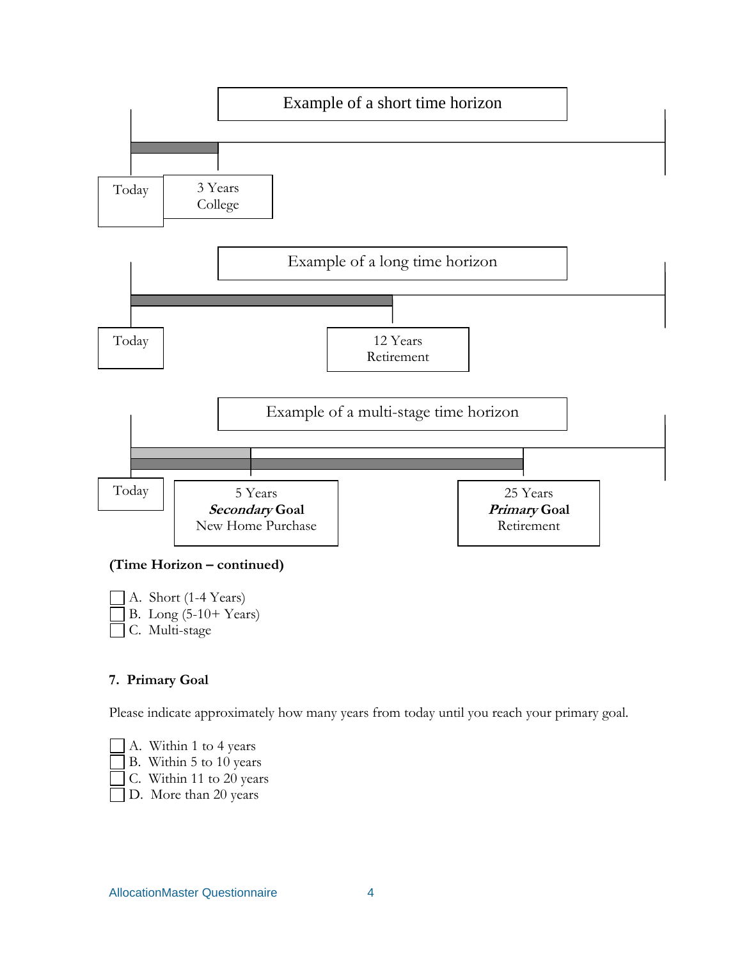

#### **(Time Horizon – continued)**

 A. Short (1-4 Years) B. Long (5-10+ Years) C. Multi-stage

# **7. Primary Goal**

Please indicate approximately how many years from today until you reach your primary goal.

 A. Within 1 to 4 years B. Within 5 to 10 years

C. Within 11 to 20 years

D. More than 20 years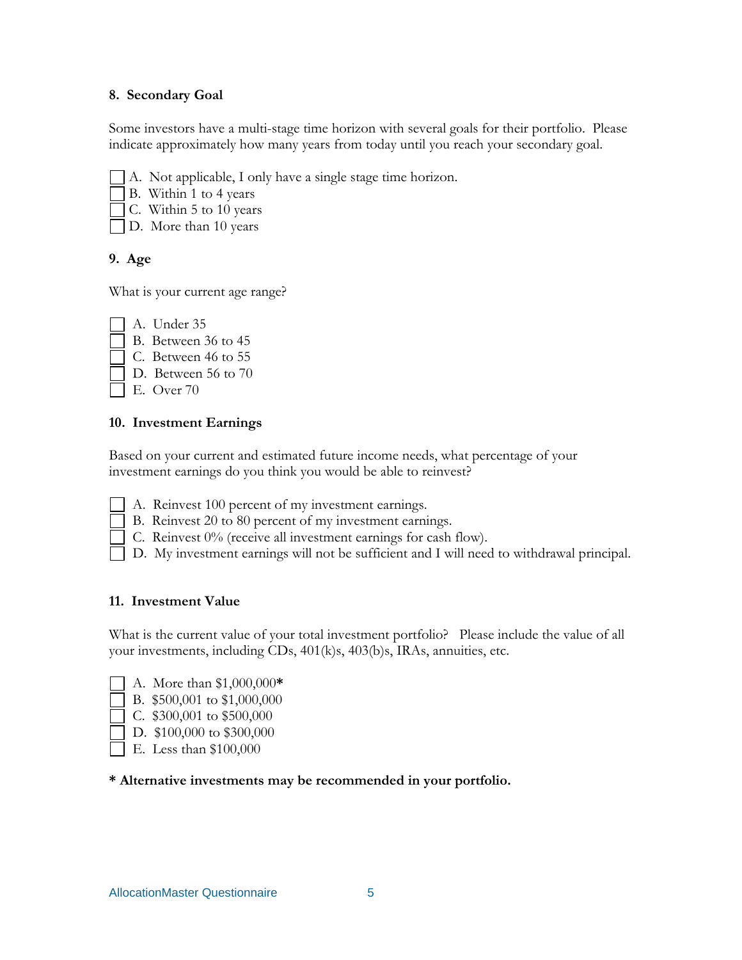#### **8. Secondary Goal**

Some investors have a multi-stage time horizon with several goals for their portfolio. Please indicate approximately how many years from today until you reach your secondary goal.

- A. Not applicable, I only have a single stage time horizon.
- B. Within 1 to 4 years
- C. Within 5 to 10 years
- D. More than 10 years

# **9. Age**

What is your current age range?

- A. Under 35
- B. Between 36 to 45
- C. Between 46 to 55
- D. Between 56 to 70
	- E. Over 70

# **10. Investment Earnings**

Based on your current and estimated future income needs, what percentage of your investment earnings do you think you would be able to reinvest?

- A. Reinvest 100 percent of my investment earnings.
- B. Reinvest 20 to 80 percent of my investment earnings.
- $\Box$  C. Reinvest 0% (receive all investment earnings for cash flow).
- D. My investment earnings will not be sufficient and I will need to withdrawal principal.

# **11. Investment Value**

What is the current value of your total investment portfolio? Please include the value of all your investments, including CDs, 401(k)s, 403(b)s, IRAs, annuities, etc.

- A. More than \$1,000,000**\***
- B. \$500,001 to \$1,000,000
- C. \$300,001 to \$500,000
- D. \$100,000 to \$300,000
- E. Less than \$100,000

# **\* Alternative investments may be recommended in your portfolio.**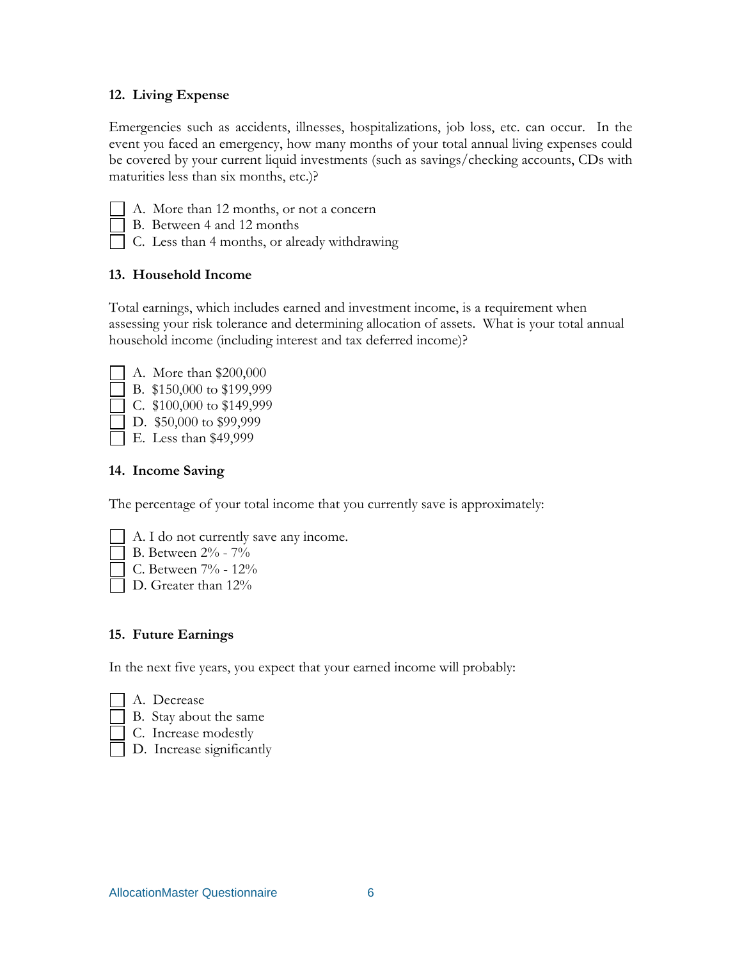# **12. Living Expense**

Emergencies such as accidents, illnesses, hospitalizations, job loss, etc. can occur. In the event you faced an emergency, how many months of your total annual living expenses could be covered by your current liquid investments (such as savings/checking accounts, CDs with maturities less than six months, etc.)?

- 
- A. More than 12 months, or not a concern B. Between 4 and 12 months
- C. Less than 4 months, or already withdrawing

# **13. Household Income**

Total earnings, which includes earned and investment income, is a requirement when assessing your risk tolerance and determining allocation of assets. What is your total annual household income (including interest and tax deferred income)?

- A. More than \$200,000
- B. \$150,000 to \$199,999
- C. \$100,000 to \$149,999
- D. \$50,000 to \$99,999

E. Less than \$49,999

# **14. Income Saving**

The percentage of your total income that you currently save is approximately:

- A. I do not currently save any income.
- B. Between 2% 7%
- C. Between 7% 12%
- D. Greater than  $12\%$

# **15. Future Earnings**

In the next five years, you expect that your earned income will probably:

- A. Decrease
- B. Stay about the same
- C. Increase modestly
- D. Increase significantly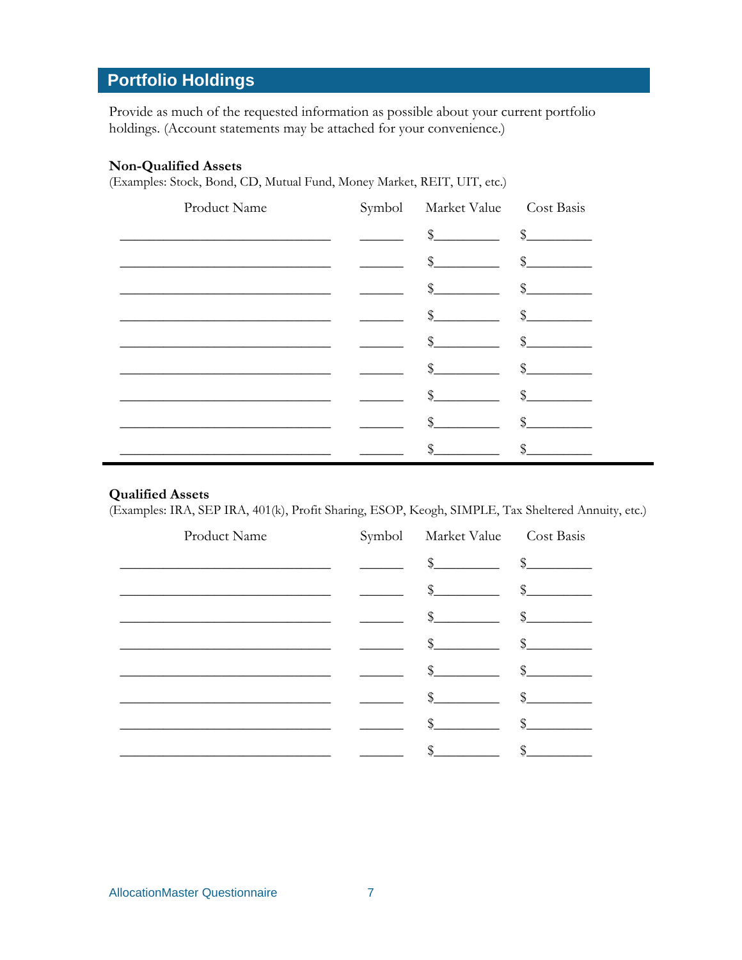# **Portfolio Holdings**

Provide as much of the requested information as possible about your current portfolio holdings. (Account statements may be attached for your convenience.)

#### **Non-Qualified Assets**

(Examples: Stock, Bond, CD, Mutual Fund, Money Market, REIT, UIT, etc.)

| Product Name | Symbol Market Value Cost Basis                                                                                                                                                                                                                                                                                                                                                                                                                                                                                                 |  |
|--------------|--------------------------------------------------------------------------------------------------------------------------------------------------------------------------------------------------------------------------------------------------------------------------------------------------------------------------------------------------------------------------------------------------------------------------------------------------------------------------------------------------------------------------------|--|
|              | $\frac{1}{2}$ $\frac{1}{2}$ $\frac{1}{2}$ $\frac{1}{2}$ $\frac{1}{2}$ $\frac{1}{2}$ $\frac{1}{2}$ $\frac{1}{2}$ $\frac{1}{2}$ $\frac{1}{2}$ $\frac{1}{2}$ $\frac{1}{2}$ $\frac{1}{2}$ $\frac{1}{2}$ $\frac{1}{2}$ $\frac{1}{2}$ $\frac{1}{2}$ $\frac{1}{2}$ $\frac{1}{2}$ $\frac{1}{2}$ $\frac{1}{2}$ $\frac{1}{2}$                                                                                                                                                                                                            |  |
|              | $\begin{picture}(20,10) \put(0,0){\vector(1,0){100}} \put(15,0){\vector(1,0){100}} \put(15,0){\vector(1,0){100}} \put(15,0){\vector(1,0){100}} \put(15,0){\vector(1,0){100}} \put(15,0){\vector(1,0){100}} \put(15,0){\vector(1,0){100}} \put(15,0){\vector(1,0){100}} \put(15,0){\vector(1,0){100}} \put(15,0){\vector(1,0){100}} \put(15,0){\vector(1,0){100}} \$                                                                                                                                                            |  |
|              | $\begin{tabular}{c} - & \textit{``}\end{tabular} \begin{tabular}{c} \textit{``}\end{tabular} \begin{tabular}{c} \textit{``}\end{tabular} \begin{tabular}{c} \textit{``}\end{tabular} \begin{tabular}{c} \textit{``}\end{tabular} \end{tabular} \begin{tabular}{c} \textit{``}\end{tabular} \begin{tabular}{c} \textit{``}\end{tabular} \end{tabular} \begin{tabular}{c} \textit{``}\end{tabular} \end{tabular} \begin{tabular}{c} \textit{``}\end{tabular} \end{tabular} \begin{tabular}{c} \textit{``}\end{tabular} \end{tab$ |  |
|              | $\frac{1}{2}$ $\frac{1}{2}$ $\frac{1}{2}$ $\frac{1}{2}$ $\frac{1}{2}$ $\frac{1}{2}$ $\frac{1}{2}$ $\frac{1}{2}$ $\frac{1}{2}$ $\frac{1}{2}$ $\frac{1}{2}$ $\frac{1}{2}$ $\frac{1}{2}$ $\frac{1}{2}$ $\frac{1}{2}$ $\frac{1}{2}$ $\frac{1}{2}$ $\frac{1}{2}$ $\frac{1}{2}$ $\frac{1}{2}$ $\frac{1}{2}$ $\frac{1}{2}$                                                                                                                                                                                                            |  |
|              | $\frac{1}{2}$ $\frac{1}{2}$ $\frac{1}{2}$ $\frac{1}{2}$ $\frac{1}{2}$ $\frac{1}{2}$ $\frac{1}{2}$ $\frac{1}{2}$ $\frac{1}{2}$ $\frac{1}{2}$ $\frac{1}{2}$ $\frac{1}{2}$ $\frac{1}{2}$ $\frac{1}{2}$ $\frac{1}{2}$ $\frac{1}{2}$ $\frac{1}{2}$ $\frac{1}{2}$ $\frac{1}{2}$ $\frac{1}{2}$ $\frac{1}{2}$ $\frac{1}{2}$                                                                                                                                                                                                            |  |
|              | $\frac{1}{2}$ $\frac{1}{2}$ $\frac{1}{2}$ $\frac{1}{2}$ $\frac{1}{2}$ $\frac{1}{2}$ $\frac{1}{2}$ $\frac{1}{2}$ $\frac{1}{2}$ $\frac{1}{2}$ $\frac{1}{2}$ $\frac{1}{2}$ $\frac{1}{2}$ $\frac{1}{2}$ $\frac{1}{2}$ $\frac{1}{2}$ $\frac{1}{2}$ $\frac{1}{2}$ $\frac{1}{2}$ $\frac{1}{2}$ $\frac{1}{2}$ $\frac{1}{2}$                                                                                                                                                                                                            |  |
|              | $\frac{1}{2}$ $\frac{1}{2}$ $\frac{1}{2}$ $\frac{1}{2}$ $\frac{1}{2}$ $\frac{1}{2}$ $\frac{1}{2}$ $\frac{1}{2}$ $\frac{1}{2}$ $\frac{1}{2}$ $\frac{1}{2}$ $\frac{1}{2}$ $\frac{1}{2}$ $\frac{1}{2}$ $\frac{1}{2}$ $\frac{1}{2}$ $\frac{1}{2}$ $\frac{1}{2}$ $\frac{1}{2}$ $\frac{1}{2}$ $\frac{1}{2}$ $\frac{1}{2}$                                                                                                                                                                                                            |  |
|              | $\sim$ \$                                                                                                                                                                                                                                                                                                                                                                                                                                                                                                                      |  |
|              |                                                                                                                                                                                                                                                                                                                                                                                                                                                                                                                                |  |

# **Qualified Assets**

(Examples: IRA, SEP IRA, 401(k), Profit Sharing, ESOP, Keogh, SIMPLE, Tax Sheltered Annuity, etc.)

| Product Name | Symbol Market Value Cost Basis |                                                                                                                                                                                                                                                                                                                                                                              |
|--------------|--------------------------------|------------------------------------------------------------------------------------------------------------------------------------------------------------------------------------------------------------------------------------------------------------------------------------------------------------------------------------------------------------------------------|
|              | $\frac{1}{2}$                  | $\frac{1}{2}$                                                                                                                                                                                                                                                                                                                                                                |
|              | $\frac{1}{2}$                  | $\frac{1}{2}$                                                                                                                                                                                                                                                                                                                                                                |
|              | $\frac{1}{2}$                  | $\frac{1}{2}$                                                                                                                                                                                                                                                                                                                                                                |
|              | $\frac{1}{2}$                  | $\frac{1}{2}$                                                                                                                                                                                                                                                                                                                                                                |
|              | $\frac{1}{2}$                  | $\frac{1}{2}$                                                                                                                                                                                                                                                                                                                                                                |
|              | $\frac{1}{2}$                  | $\frac{\S_{\frac{1}{2}}}{\S_{\frac{1}{2}}}{\S_{\frac{1}{2}}}{\S_{\frac{1}{2}}}{\S_{\frac{1}{2}}}{\S_{\frac{1}{2}}}{\S_{\frac{1}{2}}}{\S_{\frac{1}{2}}}{\S_{\frac{1}{2}}}{\S_{\frac{1}{2}}}{\S_{\frac{1}{2}}}{\S_{\frac{1}{2}}}{\S_{\frac{1}{2}}}{\S_{\frac{1}{2}}}{\S_{\frac{1}{2}}}{\S_{\frac{1}{2}}}{\S_{\frac{1}{2}}}{\S_{\frac{1}{2}}}{\S_{\frac{1}{2}}}{\S_{\frac{1}{2$ |
|              | \$                             | \$_                                                                                                                                                                                                                                                                                                                                                                          |
|              | \$                             |                                                                                                                                                                                                                                                                                                                                                                              |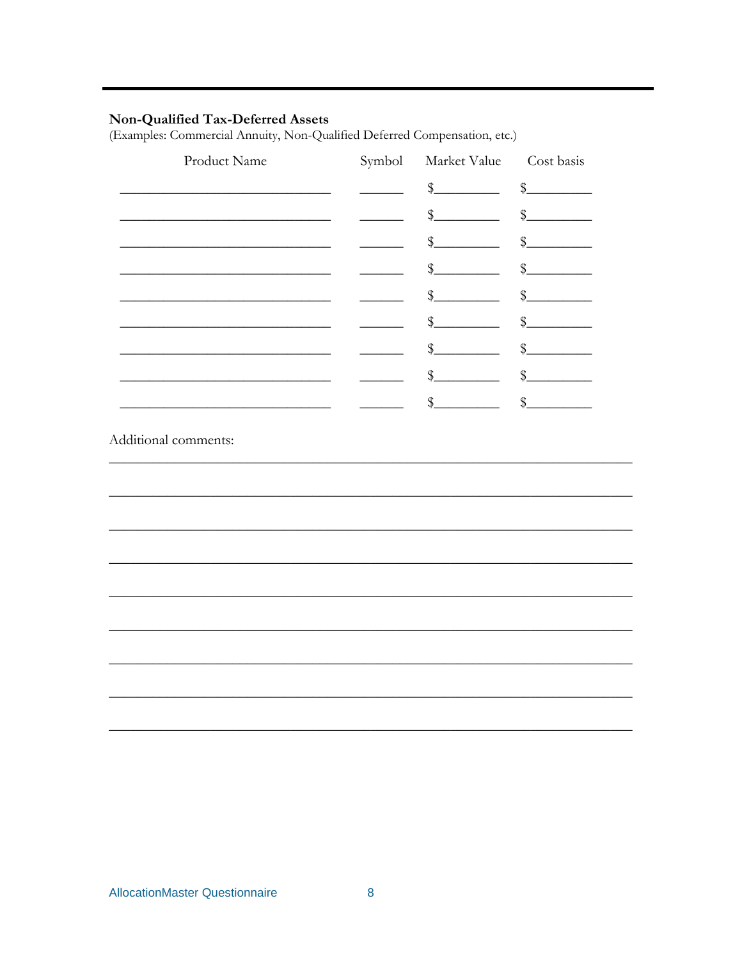# Non-Qualified Tax-Deferred Assets

(Examples: Commercial Annuity, Non-Qualified Deferred Compensation, etc.)

| Product Name                      | Symbol | Market Value  | Cost basis        |
|-----------------------------------|--------|---------------|-------------------|
|                                   |        | $\oint$       | $\oint$           |
|                                   |        | $\frac{1}{2}$ | $\frac{1}{2}$     |
|                                   |        | $\frac{1}{2}$ | $\frac{1}{2}$     |
|                                   |        | $\oint$       | $\frac{1}{2}$     |
|                                   |        | \$            | $\mathcal{S}_{1}$ |
|                                   |        | $\frac{1}{2}$ | \$                |
|                                   |        | $\frac{1}{2}$ | $\frac{1}{2}$     |
|                                   |        | $\frac{1}{2}$ | $\frac{1}{2}$     |
| the company of the company of the |        | $\frac{1}{2}$ | $\mathcal{S}_{1}$ |
|                                   |        |               |                   |
|                                   |        |               |                   |
|                                   |        |               |                   |
|                                   |        |               |                   |
|                                   |        |               |                   |
|                                   |        |               |                   |
|                                   |        |               |                   |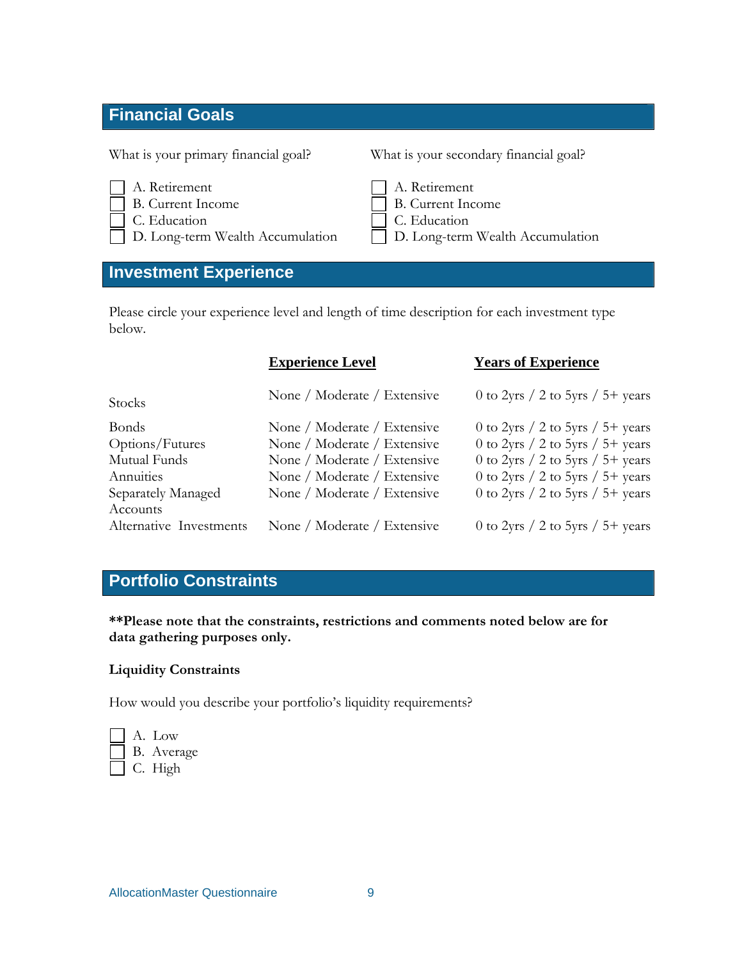# **Financial Goals**

- A. Retirement
- 
- 
- 

# **Investment Experience**

What is your primary financial goal? What is your secondary financial goal?

| A. Retirement     | A. Retirement     |
|-------------------|-------------------|
| B. Current Income | B. Current Income |

- C. Education C. Education
- D. Long-term Wealth Accumulation D. Long-term Wealth Accumulation

Please circle your experience level and length of time description for each investment type below.

|                         | <b>Experience Level</b>     | <b>Years of Experience</b>           |
|-------------------------|-----------------------------|--------------------------------------|
| <b>Stocks</b>           | None / Moderate / Extensive | 0 to 2yrs $/$ 2 to 5yrs $/$ 5+ years |
| <b>Bonds</b>            | None / Moderate / Extensive | 0 to 2yrs $/$ 2 to 5yrs $/$ 5+ years |
| Options/Futures         | None / Moderate / Extensive | 0 to 2yrs $/$ 2 to 5yrs $/$ 5+ years |
| Mutual Funds            | None / Moderate / Extensive | 0 to 2yrs $/$ 2 to 5yrs $/$ 5+ years |
| Annuities               | None / Moderate / Extensive | 0 to 2yrs $/$ 2 to 5yrs $/$ 5+ years |
| Separately Managed      | None / Moderate / Extensive | 0 to 2yrs $/$ 2 to 5yrs $/$ 5+ years |
| Accounts                |                             |                                      |
| Alternative Investments | None / Moderate / Extensive | 0 to 2yrs / 2 to 5yrs / 5+ years     |

# **Portfolio Constraints**

**\*\*Please note that the constraints, restrictions and comments noted below are for data gathering purposes only.** 

# **Liquidity Constraints**

How would you describe your portfolio's liquidity requirements?

|  | A. Low     |
|--|------------|
|  | B. Average |
|  | C. High    |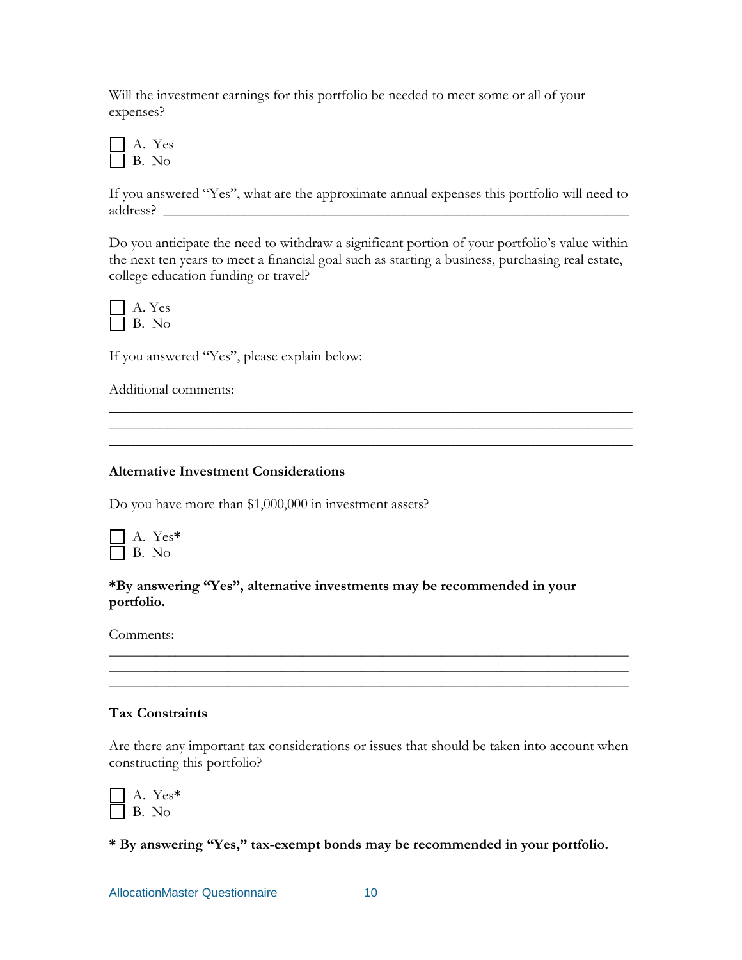Will the investment earnings for this portfolio be needed to meet some or all of your expenses?

 A. Yes B. No

If you answered "Yes", what are the approximate annual expenses this portfolio will need to address? \_\_\_\_\_\_\_\_\_\_\_\_\_\_\_\_\_\_\_\_\_\_\_\_\_\_\_\_\_\_\_\_\_\_\_\_\_\_\_\_\_\_\_\_\_\_\_\_\_\_\_\_\_\_\_\_\_\_\_\_\_\_\_\_

Do you anticipate the need to withdraw a significant portion of your portfolio's value within the next ten years to meet a financial goal such as starting a business, purchasing real estate, college education funding or travel?

\_\_\_\_\_\_\_\_\_\_\_\_\_\_\_\_\_\_\_\_\_\_\_\_\_\_\_\_\_\_\_\_\_\_\_\_\_\_\_\_\_\_\_\_\_\_\_\_\_\_\_\_\_\_\_\_\_\_\_\_\_\_\_\_\_\_\_\_\_\_\_\_ \_\_\_\_\_\_\_\_\_\_\_\_\_\_\_\_\_\_\_\_\_\_\_\_\_\_\_\_\_\_\_\_\_\_\_\_\_\_\_\_\_\_\_\_\_\_\_\_\_\_\_\_\_\_\_\_\_\_\_\_\_\_\_\_\_\_\_\_\_\_\_\_



If you answered "Yes", please explain below:

Additional comments:

#### **Alternative Investment Considerations**

Do you have more than \$1,000,000 in investment assets?

 A. Yes**\*** B. No

**\*By answering "Yes", alternative investments may be recommended in your portfolio.** 

Comments:

# **Tax Constraints**

Are there any important tax considerations or issues that should be taken into account when constructing this portfolio?

\_\_\_\_\_\_\_\_\_\_\_\_\_\_\_\_\_\_\_\_\_\_\_\_\_\_\_\_\_\_\_\_\_\_\_\_\_\_\_\_\_\_\_\_\_\_\_\_\_\_\_\_\_\_\_\_\_\_\_\_\_\_\_\_\_\_\_\_\_\_\_\_\_\_\_\_\_\_ \_\_\_\_\_\_\_\_\_\_\_\_\_\_\_\_\_\_\_\_\_\_\_\_\_\_\_\_\_\_\_\_\_\_\_\_\_\_\_\_\_\_\_\_\_\_\_\_\_\_\_\_\_\_\_\_\_\_\_\_\_\_\_\_\_\_\_\_\_\_\_\_\_\_\_\_\_\_ \_\_\_\_\_\_\_\_\_\_\_\_\_\_\_\_\_\_\_\_\_\_\_\_\_\_\_\_\_\_\_\_\_\_\_\_\_\_\_\_\_\_\_\_\_\_\_\_\_\_\_\_\_\_\_\_\_\_\_\_\_\_\_\_\_\_\_\_\_\_\_\_\_\_\_\_\_\_

|  | ′es*<br>Y |
|--|-----------|
|  |           |

**\* By answering "Yes," tax-exempt bonds may be recommended in your portfolio.**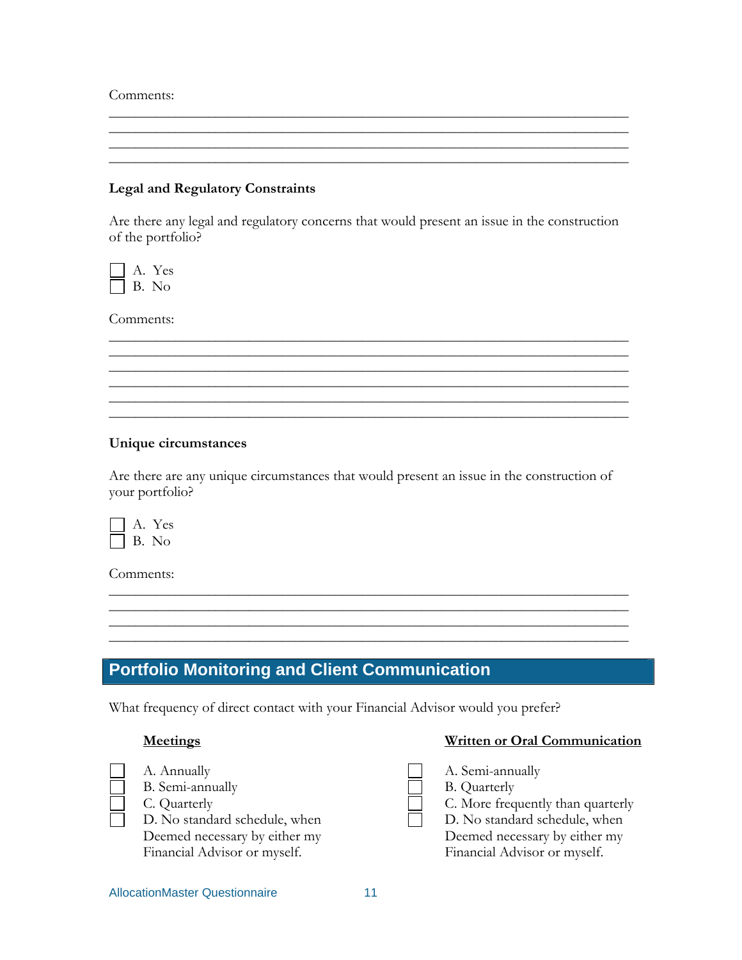Comments:

#### **Legal and Regulatory Constraints**

Are there any legal and regulatory concerns that would present an issue in the construction of the portfolio?

\_\_\_\_\_\_\_\_\_\_\_\_\_\_\_\_\_\_\_\_\_\_\_\_\_\_\_\_\_\_\_\_\_\_\_\_\_\_\_\_\_\_\_\_\_\_\_\_\_\_\_\_\_\_\_\_\_\_\_\_\_\_\_\_\_\_\_\_\_\_\_\_\_\_\_\_\_\_ \_\_\_\_\_\_\_\_\_\_\_\_\_\_\_\_\_\_\_\_\_\_\_\_\_\_\_\_\_\_\_\_\_\_\_\_\_\_\_\_\_\_\_\_\_\_\_\_\_\_\_\_\_\_\_\_\_\_\_\_\_\_\_\_\_\_\_\_\_\_\_\_\_\_\_\_\_\_ \_\_\_\_\_\_\_\_\_\_\_\_\_\_\_\_\_\_\_\_\_\_\_\_\_\_\_\_\_\_\_\_\_\_\_\_\_\_\_\_\_\_\_\_\_\_\_\_\_\_\_\_\_\_\_\_\_\_\_\_\_\_\_\_\_\_\_\_\_\_\_\_\_\_\_\_\_\_

\_\_\_\_\_\_\_\_\_\_\_\_\_\_\_\_\_\_\_\_\_\_\_\_\_\_\_\_\_\_\_\_\_\_\_\_\_\_\_\_\_\_\_\_\_\_\_\_\_\_\_\_\_\_\_\_\_\_\_\_\_\_\_\_\_\_\_\_\_\_\_\_\_\_\_\_\_\_ \_\_\_\_\_\_\_\_\_\_\_\_\_\_\_\_\_\_\_\_\_\_\_\_\_\_\_\_\_\_\_\_\_\_\_\_\_\_\_\_\_\_\_\_\_\_\_\_\_\_\_\_\_\_\_\_\_\_\_\_\_\_\_\_\_\_\_\_\_\_\_\_\_\_\_\_\_\_

\_\_\_\_\_\_\_\_\_\_\_\_\_\_\_\_\_\_\_\_\_\_\_\_\_\_\_\_\_\_\_\_\_\_\_\_\_\_\_\_\_\_\_\_\_\_\_\_\_\_\_\_\_\_\_\_\_\_\_\_\_\_\_\_\_\_\_\_\_\_\_\_\_\_\_\_\_\_ \_\_\_\_\_\_\_\_\_\_\_\_\_\_\_\_\_\_\_\_\_\_\_\_\_\_\_\_\_\_\_\_\_\_\_\_\_\_\_\_\_\_\_\_\_\_\_\_\_\_\_\_\_\_\_\_\_\_\_\_\_\_\_\_\_\_\_\_\_\_\_\_\_\_\_\_\_\_ \_\_\_\_\_\_\_\_\_\_\_\_\_\_\_\_\_\_\_\_\_\_\_\_\_\_\_\_\_\_\_\_\_\_\_\_\_\_\_\_\_\_\_\_\_\_\_\_\_\_\_\_\_\_\_\_\_\_\_\_\_\_\_\_\_\_\_\_\_\_\_\_\_\_\_\_\_\_



Comments:

#### **Unique circumstances**

Are there are any unique circumstances that would present an issue in the construction of your portfolio?

\_\_\_\_\_\_\_\_\_\_\_\_\_\_\_\_\_\_\_\_\_\_\_\_\_\_\_\_\_\_\_\_\_\_\_\_\_\_\_\_\_\_\_\_\_\_\_\_\_\_\_\_\_\_\_\_\_\_\_\_\_\_\_\_\_\_\_\_\_\_\_\_\_\_\_\_\_\_

\_\_\_\_\_\_\_\_\_\_\_\_\_\_\_\_\_\_\_\_\_\_\_\_\_\_\_\_\_\_\_\_\_\_\_\_\_\_\_\_\_\_\_\_\_\_\_\_\_\_\_\_\_\_\_\_\_\_\_\_\_\_\_\_\_\_\_\_\_\_\_\_\_\_\_\_\_\_ \_\_\_\_\_\_\_\_\_\_\_\_\_\_\_\_\_\_\_\_\_\_\_\_\_\_\_\_\_\_\_\_\_\_\_\_\_\_\_\_\_\_\_\_\_\_\_\_\_\_\_\_\_\_\_\_\_\_\_\_\_\_\_\_\_\_\_\_\_\_\_\_\_\_\_\_\_\_



Comments:

# **Portfolio Monitoring and Client Communication**

What frequency of direct contact with your Financial Advisor would you prefer?

| Meetings |  |
|----------|--|
|          |  |

#### **Meeting Communication Written or Oral Communication**

| Deemed necessary by either my<br>Deemed necessary by either my<br>Financial Advisor or myself.<br>Financial Advisor or myself. |  | A. Annually<br>B. Semi-annually<br>C. Quarterly<br>D. No standard schedule, when |  | A. Semi-annually<br><b>B.</b> Quarterly<br>C. More frequently than quarterly<br>D. No standard schedule, when |
|--------------------------------------------------------------------------------------------------------------------------------|--|----------------------------------------------------------------------------------|--|---------------------------------------------------------------------------------------------------------------|
|--------------------------------------------------------------------------------------------------------------------------------|--|----------------------------------------------------------------------------------|--|---------------------------------------------------------------------------------------------------------------|